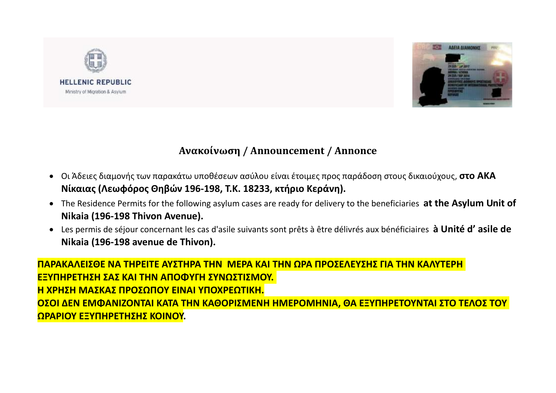



## **Ανακοίνωση / Announcement / Annonce**

- Οι Άδειες διαμονής των παρακάτω υποθέσεων ασύλου είναι έτοιμες προς παράδοση στους δικαιούχους, **στο ΑΚΑ Νίκαιας (Λεωφόρος Θηβών 196-198, Τ.Κ. 18233, κτήριο Κεράνη).**
- The Residence Permits for the following asylum cases are ready for delivery to the beneficiaries **at the Asylum Unit of Nikaia (196-198 Thivon Avenue).**
- Les permis de séjour concernant les cas d'asile suivants sont prêts à être délivrés aux bénéficiaires **à Unité d' asile de Nikaia (196-198 avenue de Thivon).**

**ΠΑΡΑΚΑΛΕΙΣΘΕ ΝΑ ΤΗΡΕΙΤΕ ΑΥΣΤΗΡΑ ΤΗΝ ΜΕΡΑ ΚΑΙ ΤΗΝ ΩΡΑ ΠΡΟΣΕΛΕΥΣΗΣ ΓΙΑ ΤΗΝ ΚΑΛΥΤΕΡΗ ΕΞΥΠΗΡΕΤΗΣΗ ΣΑΣ ΚΑΙ ΤΗΝ ΑΠΟΦΥΓΗ ΣΥΝΩΣΤΙΣΜΟΥ. Η ΧΡΗΣΗ ΜΑΣΚΑΣ ΠΡΟΣΩΠΟΥ ΕΙΝΑΙ ΥΠΟΧΡΕΩΤΙΚΗ. ΟΣΟΙ ΔΕΝ ΕΜΦΑΝΙΖΟΝΤΑΙ ΚΑΤΑ ΤΗΝ ΚΑΘΟΡΙΣΜΕΝΗ ΗΜΕΡΟΜΗΝΙΑ, ΘΑ ΕΞΥΠΗΡΕΤΟΥΝΤΑΙ ΣΤΟ ΤΕΛΟΣ ΤΟΥ ΩΡΑΡΙΟΥ ΕΞΥΠΗΡΕΤΗΣΗΣ ΚΟΙΝΟΥ.**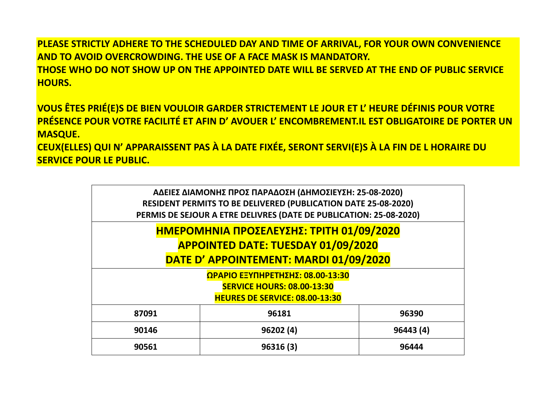**PLEASE STRICTLY ADHERE TO THE SCHEDULED DAY AND TIME OF ARRIVAL, FOR YOUR OWN CONVENIENCE AND TO AVOID OVERCROWDING. THE USE OF A FACE MASK IS MANDATORY. THOSE WHO DO NOT SHOW UP ON THE APPOINTED DATE WILL BE SERVED AT THE END OF PUBLIC SERVICE HOURS.**

**VOUS ÊTES PRIÉ(E)S DE BIEN VOULOIR GARDER STRICTEMENT LE JOUR ET L' HEURE DÉFINIS POUR VOTRE PRÉSENCE POUR VOTRE FACILITÉ ET AFIN D' AVOUER L' ENCOMBREMENT.IL EST OBLIGATOIRE DE PORTER UN MASQUE.**

**CEUX(ELLES) QUI N' APPARAISSENT PAS À LA DATE FIXÉE, SERONT SERVI(E)S À LA FIN DE L HORAIRE DU SERVICE POUR LE PUBLIC.**

| ΑΔΕΙΕΣ ΔΙΑΜΟΝΗΣ ΠΡΟΣ ΠΑΡΑΔΟΣΗ (ΔΗΜΟΣΙΕΥΣΗ: 25-08-2020)                |          |          |  |
|-----------------------------------------------------------------------|----------|----------|--|
| <b>RESIDENT PERMITS TO BE DELIVERED (PUBLICATION DATE 25-08-2020)</b> |          |          |  |
| PERMIS DE SEJOUR A ETRE DELIVRES (DATE DE PUBLICATION: 25-08-2020)    |          |          |  |
|                                                                       |          |          |  |
| ΗΜΕΡΟΜΗΝΙΑ ΠΡΟΣΕΛΕΥΣΗΣ: ΤΡΙΤΗ 01/09/2020                              |          |          |  |
| <b>APPOINTED DATE: TUESDAY 01/09/2020</b>                             |          |          |  |
| DATE D' APPOINTEMENT: MARDI 01/09/2020                                |          |          |  |
| <b>ΩΡΑΡΙΟ ΕΞΥΠΗΡΕΤΗΣΗΣ: 08.00-13:30</b>                               |          |          |  |
| <b>SERVICE HOURS: 08.00-13:30</b>                                     |          |          |  |
| <b>HEURES DE SERVICE: 08.00-13:30</b>                                 |          |          |  |
|                                                                       |          |          |  |
| 87091                                                                 | 96181    | 96390    |  |
| 90146                                                                 | 96202(4) | 96443(4) |  |
| 90561                                                                 | 96316(3) | 96444    |  |